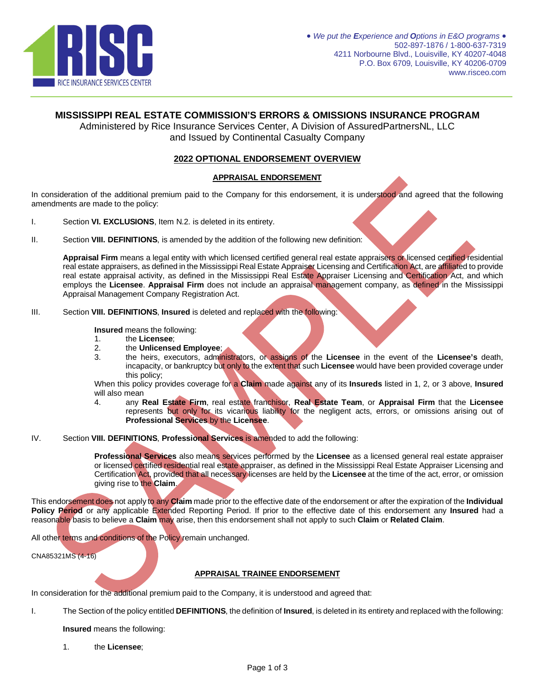

# **MISSISSIPPI REAL ESTATE COMMISSION'S ERRORS & OMISSIONS INSURANCE PROGRAM**

Administered by Rice Insurance Services Center, A Division of AssuredPartnersNL, LLC and Issued by Continental Casualty Company

## **2022 OPTIONAL ENDORSEMENT OVERVIEW**

### **APPRAISAL ENDORSEMENT**

In consideration of the additional premium paid to the Company for this endorsement, it is understood and agreed that the following amendments are made to the policy:

- I. Section **VI. EXCLUSIONS**, Item N.2. is deleted in its entirety.
- II. Section **VIII. DEFINITIONS**, is amended by the addition of the following new definition:

**Appraisal Firm** means a legal entity with which licensed certified general real estate appraisers or licensed certified residential real estate appraisers, as defined in the Mississippi Real Estate Appraiser Licensing and Certification Act, are affiliated to provide real estate appraisal activity, as defined in the Mississippi Real Estate Appraiser Licensing and Certification Act, and which employs the **Licensee**. **Appraisal Firm** does not include an appraisal management company, as defined in the Mississippi Appraisal Management Company Registration Act.

III. Section **VIII. DEFINITIONS**, **Insured** is deleted and replaced with the following:

**Insured** means the following:

- 1. the **Licensee**;
- 2. the **Unlicensed Employee**;
- 3. the heirs, executors, administrators, or assigns of the **Licensee** in the event of the **Licensee's** death, incapacity, or bankruptcy but only to the extent that such **Licensee** would have been provided coverage under this policy;

When this policy provides coverage for a **Claim** made against any of its **Insureds** listed in 1, 2, or 3 above, **Insured** will also mean

- 4. any **Real Estate Firm**, real estate franchisor, **Real Estate Team**, or **Appraisal Firm** that the **Licensee** represents but only for its vicarious liability for the negligent acts, errors, or omissions arising out of **Professional Services** by the **Licensee**.
- IV. Section **VIII. DEFINITIONS**, **Professional Services** is amended to add the following:

**Professional Services** also means services performed by the **Licensee** as a licensed general real estate appraiser or licensed certified residential real estate appraiser, as defined in the Mississippi Real Estate Appraiser Licensing and Certification Act, provided that all necessary licenses are held by the **Licensee** at the time of the act, error, or omission giving rise to the **Claim**.

This endorsement does not apply to any **Claim** made prior to the effective date of the endorsement or after the expiration of the **Individual Policy Period** or any applicable Extended Reporting Period. If prior to the effective date of this endorsement any **Insured** had a reasonable basis to believe a **Claim** may arise, then this endorsement shall not apply to such **Claim** or **Related Claim**.

All other terms and conditions of the Policy remain unchanged.

CNA85321MS (4-16)

## **APPRAISAL TRAINEE ENDORSEMENT**

In consideration for the additional premium paid to the Company, it is understood and agreed that:

I. The Section of the policy entitled **DEFINITIONS**, the definition of **Insured**, is deleted in its entirety and replaced with the following:

**Insured** means the following:

1. the **Licensee**;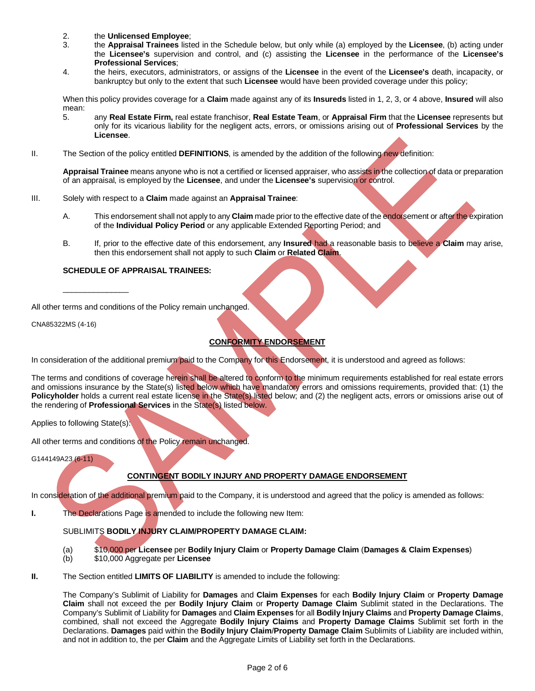- 2. the **Unlicensed Employee**;
- 3. the **Appraisal Trainees** listed in the Schedule below, but only while (a) employed by the **Licensee**, (b) acting under the **Licensee's** supervision and control, and (c) assisting the **Licensee** in the performance of the **Licensee's Professional Services**;
- 4. the heirs, executors, administrators, or assigns of the **Licensee** in the event of the **Licensee's** death, incapacity, or bankruptcy but only to the extent that such **Licensee** would have been provided coverage under this policy;

When this policy provides coverage for a **Claim** made against any of its **Insureds** listed in 1, 2, 3, or 4 above, **Insured** will also mean:

- 5. any **Real Estate Firm,** real estate franchisor, **Real Estate Team**, or **Appraisal Firm** that the **Licensee** represents but only for its vicarious liability for the negligent acts, errors, or omissions arising out of **Professional Services** by the **Licensee**.
- II. The Section of the policy entitled **DEFINITIONS**, is amended by the addition of the following new definition:

**Appraisal Trainee** means anyone who is not a certified or licensed appraiser, who assists in the collection of data or preparation of an appraisal, is employed by the **Licensee**, and under the **Licensee's** supervision or control.

- III. Solely with respect to a **Claim** made against an **Appraisal Trainee**:
	- A. This endorsement shall not apply to any **Claim** made prior to the effective date of the endorsement or after the expiration of the **Individual Policy Period** or any applicable Extended Reporting Period; and
	- B. If, prior to the effective date of this endorsement, any **Insured** had a reasonable basis to believe a **Claim** may arise, then this endorsement shall not apply to such **Claim** or **Related Claim**.

## **SCHEDULE OF APPRAISAL TRAINEES:**

All other terms and conditions of the Policy remain unchanged.

CNA85322MS (4-16)

\_\_\_\_\_\_\_\_\_\_\_\_\_\_\_

# **CONFORMITY ENDORSEMENT**

In consideration of the additional premium paid to the Company for this Endorsement, it is understood and agreed as follows:

The terms and conditions of coverage herein shall be altered to conform to the minimum requirements established for real estate errors and omissions insurance by the State(s) listed below which have mandatory errors and omissions requirements, provided that: (1) the **Policyholder** holds a current real estate license in the State(s) listed below; and (2) the negligent acts, errors or omissions arise out of the rendering of **Professional Services** in the State(s) listed below.

Applies to following State(s):

All other terms and conditions of the Policy remain unchanged.

G144149A23 (6-11)

## **CONTINGENT BODILY INJURY AND PROPERTY DAMAGE ENDORSEMENT**

In consideration of the additional premium paid to the Company, it is understood and agreed that the policy is amended as follows:

**I.** The Declarations Page is amended to include the following new Item:

## SUBLIMITS **BODILY INJURY CLAIM/PROPERTY DAMAGE CLAIM:**

- (a) \$10,000 per **Licensee** per **Bodily Injury Claim** or **Property Damage Claim** (**Damages & Claim Expenses**)
- (b) \$10,000 Aggregate per **Licensee**
- **II.** The Section entitled **LIMITS OF LIABILITY** is amended to include the following:

The Company's Sublimit of Liability for **Damages** and **Claim Expenses** for each **Bodily Injury Claim** or **Property Damage Claim** shall not exceed the per **Bodily Injury Claim** or **Property Damage Claim** Sublimit stated in the Declarations. The Company's Sublimit of Liability for **Damages** and **Claim Expenses** for all **Bodily Injury Claims** and **Property Damage Claims**, combined, shall not exceed the Aggregate **Bodily Injury Claims** and **Property Damage Claims** Sublimit set forth in the Declarations. **Damages** paid within the **Bodily Injury Claim**/**Property Damage Claim** Sublimits of Liability are included within, and not in addition to, the per **Claim** and the Aggregate Limits of Liability set forth in the Declarations.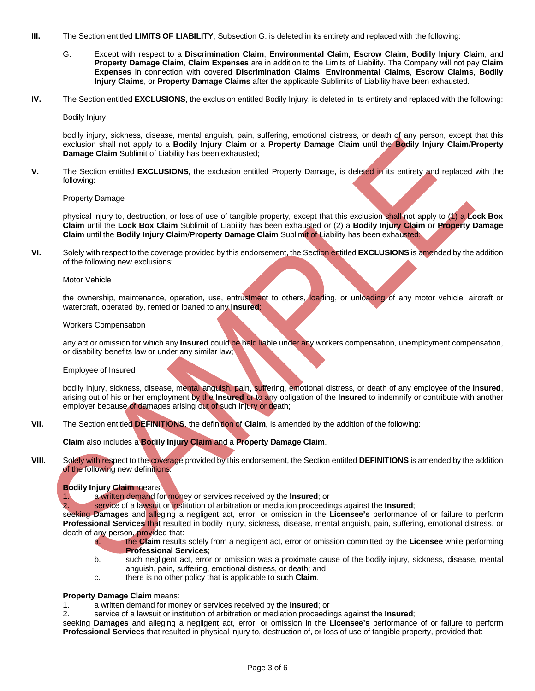- **III.** The Section entitled **LIMITS OF LIABILITY**, Subsection G. is deleted in its entirety and replaced with the following:
	- G. Except with respect to a **Discrimination Claim**, **Environmental Claim**, **Escrow Claim**, **Bodily Injury Claim**, and **Property Damage Claim**, **Claim Expenses** are in addition to the Limits of Liability. The Company will not pay **Claim Expenses** in connection with covered **Discrimination Claims**, **Environmental Claims**, **Escrow Claims**, **Bodily Injury Claims**, or **Property Damage Claims** after the applicable Sublimits of Liability have been exhausted.
- **IV.** The Section entitled **EXCLUSIONS**, the exclusion entitled Bodily Injury, is deleted in its entirety and replaced with the following:

Bodily Injury

bodily injury, sickness, disease, mental anguish, pain, suffering, emotional distress, or death of any person, except that this exclusion shall not apply to a **Bodily Injury Claim** or a **Property Damage Claim** until the **Bodily Injury Claim**/**Property Damage Claim** Sublimit of Liability has been exhausted;

**V.** The Section entitled **EXCLUSIONS**, the exclusion entitled Property Damage, is deleted in its entirety and replaced with the following:

Property Damage

physical injury to, destruction, or loss of use of tangible property, except that this exclusion shall not apply to (1) a **Lock Box Claim** until the **Lock Box Claim** Sublimit of Liability has been exhausted or (2) a **Bodily Injury Claim** or **Property Damage Claim** until the **Bodily Injury Claim**/**Property Damage Claim** Sublimit of Liability has been exhausted;

**VI.** Solely with respect to the coverage provided by this endorsement, the Section entitled **EXCLUSIONS** is amended by the addition of the following new exclusions:

Motor Vehicle

the ownership, maintenance, operation, use, entrustment to others, loading, or unloading of any motor vehicle, aircraft or watercraft, operated by, rented or loaned to any **Insured**;

#### Workers Compensation

any act or omission for which any **Insured** could be held liable under any workers compensation, unemployment compensation, or disability benefits law or under any similar law;

Employee of Insured

bodily injury, sickness, disease, mental anguish, pain, suffering, emotional distress, or death of any employee of the **Insured**, arising out of his or her employment by the **Insured** or to any obligation of the **Insured** to indemnify or contribute with another employer because of damages arising out of such injury or death;

**VII.** The Section entitled **DEFINITIONS**, the definition of **Claim**, is amended by the addition of the following:

**Claim** also includes a **Bodily Injury Claim** and a **Property Damage Claim**.

**VIII.** Solely with respect to the coverage provided by this endorsement, the Section entitled **DEFINITIONS** is amended by the addition of the following new definitions:

#### **Bodily Injury Claim** means:

1. a written demand for money or services received by the **Insured**; or

2. service of a lawsuit or institution of arbitration or mediation proceedings against the **Insured**;

seeking **Damages** and alleging a negligent act, error, or omission in the **Licensee's** performance of or failure to perform **Professional Services** that resulted in bodily injury, sickness, disease, mental anguish, pain, suffering, emotional distress, or death of any person, provided that:

- a. the **Claim** results solely from a negligent act, error or omission committed by the **Licensee** while performing **Professional Services**;
- b. such negligent act, error or omission was a proximate cause of the bodily injury, sickness, disease, mental anguish, pain, suffering, emotional distress, or death; and
- c. there is no other policy that is applicable to such **Claim**.

### **Property Damage Claim** means:

- 1. a written demand for money or services received by the **Insured**; or
- 2. service of a lawsuit or institution of arbitration or mediation proceedings against the **Insured**;

seeking **Damages** and alleging a negligent act, error, or omission in the **Licensee's** performance of or failure to perform **Professional Services** that resulted in physical injury to, destruction of, or loss of use of tangible property, provided that: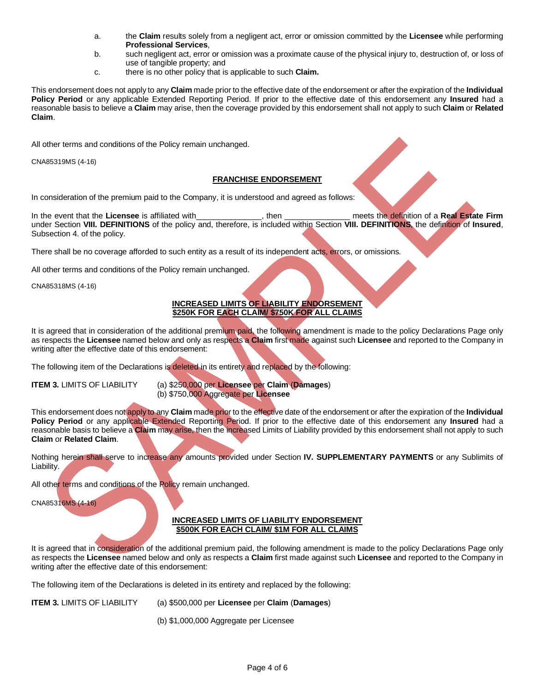- a. the **Claim** results solely from a negligent act, error or omission committed by the **Licensee** while performing **Professional Services**,
- b. such negligent act, error or omission was a proximate cause of the physical injury to, destruction of, or loss of use of tangible property; and
- c. there is no other policy that is applicable to such **Claim.**

This endorsement does not apply to any **Claim** made prior to the effective date of the endorsement or after the expiration of the **Individual Policy Period** or any applicable Extended Reporting Period. If prior to the effective date of this endorsement any **Insured** had a reasonable basis to believe a **Claim** may arise, then the coverage provided by this endorsement shall not apply to such **Claim** or **Related Claim**.

All other terms and conditions of the Policy remain unchanged.

CNA85319MS (4-16)

## **FRANCHISE ENDORSEMENT**

In consideration of the premium paid to the Company, it is understood and agreed as follows:

In the event that the **Licensee** is affiliated with\_\_\_\_\_\_\_\_\_\_\_\_\_\_\_, then \_\_\_\_\_\_\_\_\_\_\_\_\_\_\_ meets the definition of a **Real Estate Firm** under Section **VIII. DEFINITIONS** of the policy and, therefore, is included within Section **VIII. DEFINITIONS**, the definition of **Insured**, Subsection 4. of the policy.

There shall be no coverage afforded to such entity as a result of its independent acts, errors, or omissions.

All other terms and conditions of the Policy remain unchanged.

CNA85318MS (4-16)

## **INCREASED LIMITS OF LIABILITY ENDORSEMENT \$250K FOR EACH CLAIM/ \$750K FOR ALL CLAIMS**

It is agreed that in consideration of the additional premium paid, the following amendment is made to the policy Declarations Page only as respects the **Licensee** named below and only as respects a **Claim** first made against such **Licensee** and reported to the Company in writing after the effective date of this endorsement:

The following item of the Declarations is deleted in its entirety and replaced by the following:

**ITEM 3.** LIMITS OF LIABILITY (a) \$250,000 per **Licensee** per **Claim** (**Damages**) (b) \$750,000 Aggregate per **Licensee**

This endorsement does not apply to any **Claim** made prior to the effective date of the endorsement or after the expiration of the **Individual Policy Period** or any applicable Extended Reporting Period. If prior to the effective date of this endorsement any **Insured** had a reasonable basis to believe a **Claim** may arise, then the increased Limits of Liability provided by this endorsement shall not apply to such **Claim** or **Related Claim**.

Nothing herein shall serve to increase any amounts provided under Section **IV. SUPPLEMENTARY PAYMENTS** or any Sublimits of Liability.

All other terms and conditions of the Policy remain unchanged.

CNA85316MS (4-16)

#### **INCREASED LIMITS OF LIABILITY ENDORSEMENT \$500K FOR EACH CLAIM/ \$1M FOR ALL CLAIMS**

It is agreed that in consideration of the additional premium paid, the following amendment is made to the policy Declarations Page only as respects the **Licensee** named below and only as respects a **Claim** first made against such **Licensee** and reported to the Company in writing after the effective date of this endorsement:

The following item of the Declarations is deleted in its entirety and replaced by the following:

- **ITEM 3.** LIMITS OF LIABILITY (a) \$500,000 per **Licensee** per **Claim** (**Damages**)
	- (b) \$1,000,000 Aggregate per Licensee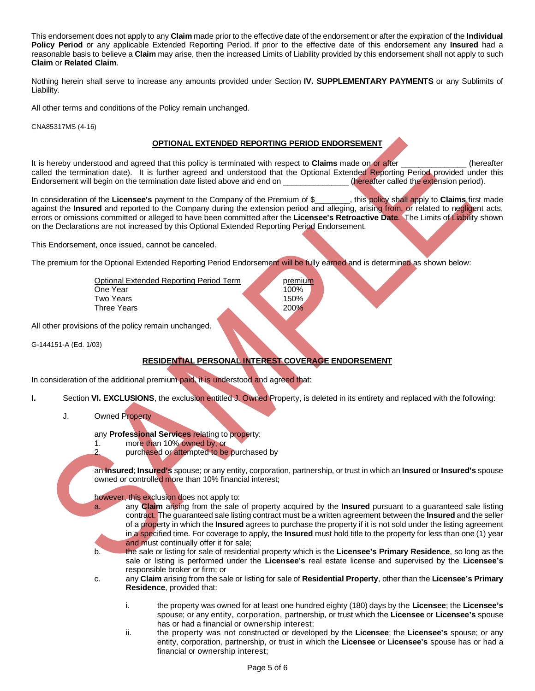This endorsement does not apply to any **Claim** made prior to the effective date of the endorsement or after the expiration of the **Individual Policy Period** or any applicable Extended Reporting Period. If prior to the effective date of this endorsement any **Insured** had a reasonable basis to believe a **Claim** may arise, then the increased Limits of Liability provided by this endorsement shall not apply to such **Claim** or **Related Claim**.

Nothing herein shall serve to increase any amounts provided under Section **IV. SUPPLEMENTARY PAYMENTS** or any Sublimits of Liability.

All other terms and conditions of the Policy remain unchanged.

CNA85317MS (4-16)

## **OPTIONAL EXTENDED REPORTING PERIOD ENDORSEMENT**

It is hereby understood and agreed that this policy is terminated with respect to **Claims** made on or after **Example 1** (hereafter called the termination date). It is further agreed and understood that the Optional Extended Reporting Period provided under this Endorsement will begin on the termination date listed above and end on \_\_\_\_\_\_\_\_\_\_\_\_\_\_(hereaf Endorsement will begin on the termination date listed above and end on

In consideration of the **Licensee's** payment to the Company of the Premium of \$\_\_\_\_\_\_\_\_, this policy shall apply to **Claims** first made against the **Insured** and reported to the Company during the extension period and alleging, arising from, or related to negligent acts, errors or omissions committed or alleged to have been committed after the **Licensee's Retroactive Date**. The Limits of Liability shown on the Declarations are not increased by this Optional Extended Reporting Period Endorsement.

This Endorsement, once issued, cannot be canceled.

The premium for the Optional Extended Reporting Period Endorsement will be fully earned and is determined as shown below:

| Optional Extended Reporting Period Term | premium     |
|-----------------------------------------|-------------|
| One Year                                | 100%        |
| Two Years                               | 150%        |
| Three Years                             | <b>200%</b> |
|                                         |             |

All other provisions of the policy remain unchanged.

G-144151-A (Ed. 1/03)

## **RESIDENTIAL PERSONAL INTEREST COVERAGE ENDORSEMENT**

In consideration of the additional premium paid, it is understood and agreed that:

- **I.** Section **VI. EXCLUSIONS**, the exclusion entitled J. Owned Property, is deleted in its entirety and replaced with the following:
	- J. Owned Property

any **Professional Services** relating to property:

1. more than 10% owned by, or

2. purchased or attempted to be purchased by

an **Insured**; **Insured's** spouse; or any entity, corporation, partnership, or trust in which an **Insured** or **Insured's** spouse owned or controlled more than 10% financial interest;

#### however, this exclusion does not apply to:

a. any **Claim** arising from the sale of property acquired by the **Insured** pursuant to a guaranteed sale listing contract. The guaranteed sale listing contract must be a written agreement between the **Insured** and the seller of a property in which the **Insured** agrees to purchase the property if it is not sold under the listing agreement in a specified time. For coverage to apply, the **Insured** must hold title to the property for less than one (1) year and must continually offer it for sale;

- b. the sale or listing for sale of residential property which is the **Licensee's Primary Residence**, so long as the sale or listing is performed under the **Licensee's** real estate license and supervised by the **Licensee's** responsible broker or firm; or
- c. any **Claim** arising from the sale or listing for sale of **Residential Property**, other than the **Licensee's Primary Residence**, provided that:
	- i. the property was owned for at least one hundred eighty (180) days by the **Licensee**; the **Licensee's** spouse; or any entity, corporation, partnership, or trust which the **Licensee** or **Licensee's** spouse has or had a financial or ownership interest;
	- ii. the property was not constructed or developed by the **Licensee**; the **Licensee's** spouse; or any entity, corporation, partnership, or trust in which the **Licensee** or **Licensee's** spouse has or had a financial or ownership interest;